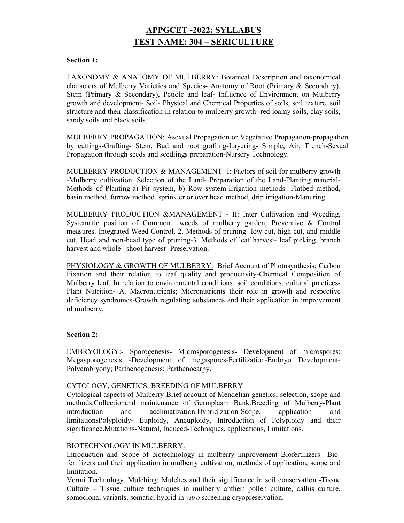# APPGCET -2022: SYLLABUS TEST NAME: 304 – SERICULTURE

#### Section 1:

TAXONOMY & ANATOMY OF MULBERRY: Botanical Description and taxonomical characters of Mulberry Varieties and Species- Anatomy of Root (Primary & Secondary), Stem (Primary & Secondary), Petiole and leaf- Influence of Environment on Mulberry growth and development- Soil- Physical and Chemical Properties of soils, soil texture, soil structure and their classification in relation to mulberry growth red loamy soils, clay soils, sandy soils and black soils.

MULBERRY PROPAGATION: Asexual Propagation or Vegetative Propagation-propagation by cuttings-Grafting- Stem, Bud and root grafting-Layering- Simple, Air, Trench-Sexual Propagation through seeds and seedlings preparation-Nursery Technology.

MULBERRY PRODUCTION & MANAGEMENT -I: Factors of soil for mulberry growth -Mulberry cultivation. Selection of the Land- Preparation of the Land-Planting material-Methods of Planting-a) Pit system, b) Row system-Irrigation methods- Flatbed method, basin method, furrow method, sprinkler or over head method, drip irrigation-Manuring.

MULBERRY PRODUCTION &MANAGEMENT - II: Inter Cultivation and Weeding, Systematic position of Common weeds of mulberry garden, Preventive & Control measures. Integrated Weed Control.-2. Methods of pruning- low cut, high cut, and middle cut, Head and non-head type of pruning-3. Methods of leaf harvest- leaf picking, branch harvest and whole shoot harvest- Preservation.

PHYSIOLOGY & GROWTH OF MULBERRY: Brief Account of Photosynthesis; Carbon Fixation and their relation to leaf quality and productivity-Chemical Composition of Mulberry leaf. In relation to environmental conditions, soil conditions, cultural practices-Plant Nutrition- A. Macronutrients; Micronutrients their role in growth and respective deficiency syndromes-Growth regulating substances and their application in improvement of mulberry.

# Section 2:

EMBRYOLOGY:- Sporogenesis- Microsporogenesis- Development of microspores; Megasporogenesis -Development of megaspores-Fertilization-Embryo Development-Polyembryony; Parthenogenesis; Parthenocarpy.

#### CYTOLOGY, GENETICS, BREEDING OF MULBERRY

Cytological aspects of Mulberry-Brief account of Mendelian genetics, selection, scope and methods.Collectionand maintenance of Germplasm Bank.Breeding of Mulberry-Plant introduction and acclimatization.Hybridization-Scope, application and limitationsPolyploidy- Euploidy, Aneuploidy, Introduction of Polyploidy and their significance.Mutations-Natural, Induced-Techniques, applications, Limitations.

# BIOTECHNOLOGY IN MULBERRY:

Introduction and Scope of biotechnology in mulberry improvement Biofertilizers –Biofertilizers and their application in mulberry cultivation, methods of application, scope and limitation.

Vermi Technology. Mulching: Mulches and their significance in soil conservation -Tissue Culture – Tissue culture techniques in mulberry anther/ pollen culture, callus culture, somoclonal variants, somatic, hybrid in vitro screening cryopreservation.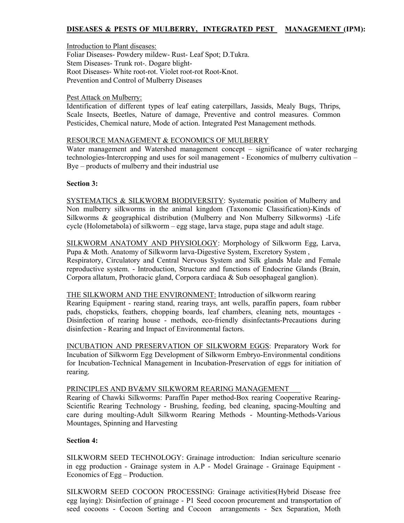# DISEASES & PESTS OF MULBERRY, INTEGRATED PEST MANAGEMENT (IPM):

Introduction to Plant diseases: Foliar Diseases- Powdery mildew- Rust- Leaf Spot; D.Tukra. Stem Diseases- Trunk rot-. Dogare blight-Root Diseases- White root-rot. Violet root-rot Root-Knot. Prevention and Control of Mulberry Diseases

#### Pest Attack on Mulberry:

Identification of different types of leaf eating caterpillars, Jassids, Mealy Bugs, Thrips, Scale Insects, Beetles, Nature of damage, Preventive and control measures. Common Pesticides, Chemical nature, Mode of action. Integrated Pest Management methods.

#### RESOURCE MANAGEMENT & ECONOMICS OF MULBERRY

Water management and Watershed management concept – significance of water recharging technologies-Intercropping and uses for soil management - Economics of mulberry cultivation – Bye – products of mulberry and their industrial use

# Section 3:

SYSTEMATICS & SILKWORM BIODIVERSITY: Systematic position of Mulberry and Non mulberry silkworms in the animal kingdom (Taxonomic Classification)-Kinds of Silkworms & geographical distribution (Mulberry and Non Mulberry Silkworms) -Life cycle (Holometabola) of silkworm – egg stage, larva stage, pupa stage and adult stage.

SILKWORM ANATOMY AND PHYSIOLOGY: Morphology of Silkworm Egg, Larva, Pupa & Moth. Anatomy of Silkworm larva-Digestive System, Excretory System , Respiratory, Circulatory and Central Nervous System and Silk glands Male and Female reproductive system. - Introduction, Structure and functions of Endocrine Glands (Brain, Corpora allatum, Prothoracic gland, Corpora cardiaca & Sub oesophageal ganglion).

THE SILKWORM AND THE ENVIRONMENT: Introduction of silkworm rearing Rearing Equipment - rearing stand, rearing trays, ant wells, paraffin papers, foam rubber pads, chopsticks, feathers, chopping boards, leaf chambers, cleaning nets, mountages - Disinfection of rearing house - methods, eco-friendly disinfectants-Precautions during disinfection - Rearing and Impact of Environmental factors.

INCUBATION AND PRESERVATION OF SILKWORM EGGS: Preparatory Work for Incubation of Silkworm Egg Development of Silkworm Embryo-Environmental conditions for Incubation-Technical Management in Incubation-Preservation of eggs for initiation of rearing.

#### PRINCIPLES AND BV&MV SILKWORM REARING MANAGEMENT

Rearing of Chawki Silkworms: Paraffin Paper method-Box rearing Cooperative Rearing-Scientific Rearing Technology - Brushing, feeding, bed cleaning, spacing-Moulting and care during moulting-Adult Silkworm Rearing Methods - Mounting-Methods-Various Mountages, Spinning and Harvesting

# Section 4:

SILKWORM SEED TECHNOLOGY: Grainage introduction: Indian sericulture scenario in egg production - Grainage system in A.P - Model Grainage - Grainage Equipment - Economics of Egg – Production.

SILKWORM SEED COCOON PROCESSING: Grainage activities(Hybrid Disease free egg laying): Disinfection of grainage - P1 Seed cocoon procurement and transportation of seed cocoons - Cocoon Sorting and Cocoon arrangements - Sex Separation, Moth